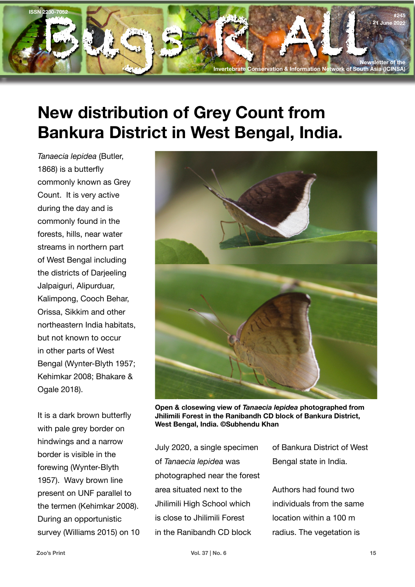

## **New distribution of Grey Count from Bankura District in West Bengal, India.**

*Tanaecia lepidea* (Butler, 1868) is a butterfly commonly known as Grey Count. It is very active during the day and is commonly found in the forests, hills, near water streams in northern part of West Bengal including the districts of Darjeeling Jalpaiguri, Alipurduar, Kalimpong, Cooch Behar, Orissa, Sikkim and other northeastern India habitats, but not known to occur in other parts of West Bengal (Wynter-Blyth 1957; Kehimkar 2008; Bhakare & Ogale 2018).

It is a dark brown butterfly with pale grey border on hindwings and a narrow border is visible in the forewing (Wynter-Blyth 1957). Wavy brown line present on UNF parallel to the termen (Kehimkar 2008). During an opportunistic survey (Williams 2015) on 10



**Open & closewing view of** *Tanaecia lepidea* **photographed from Jhilimili Forest in the Ranibandh CD block of Bankura District, West Bengal, India. ©Subhendu Khan**

July 2020, a single specimen of *Tanaecia lepidea* was photographed near the forest area situated next to the Jhilimili High School which is close to Jhilimili Forest in the Ranibandh CD block

of Bankura District of West Bengal state in India.

Authors had found two individuals from the same location within a 100 m radius. The vegetation is